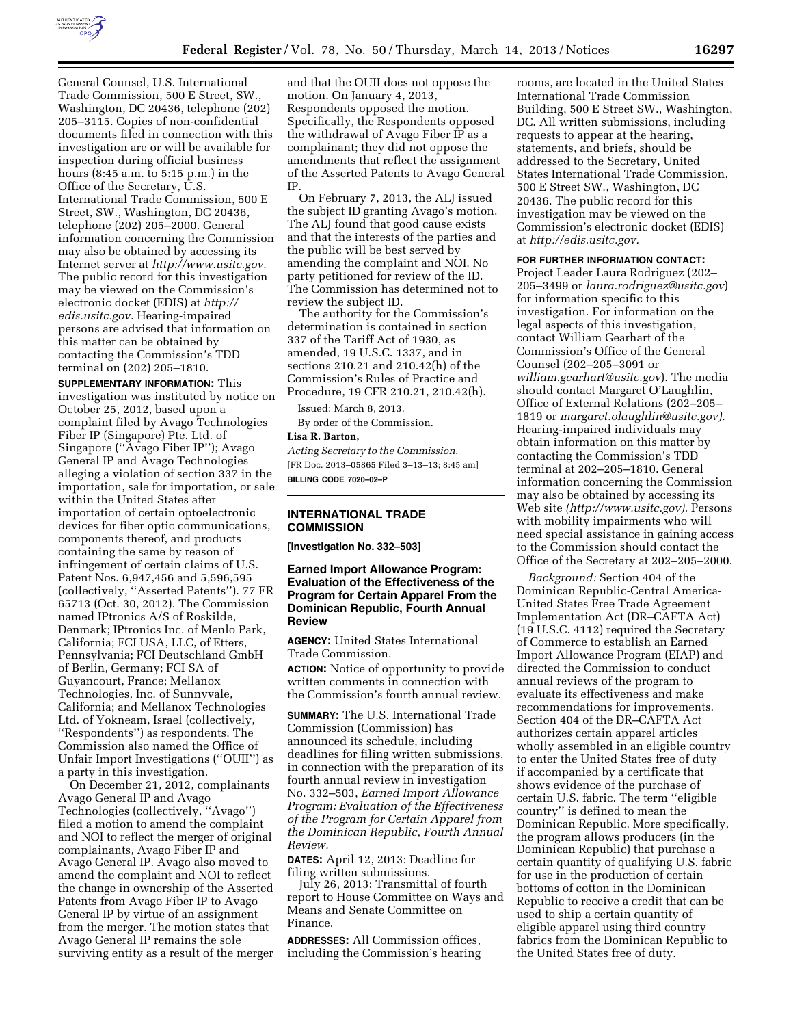

General Counsel, U.S. International Trade Commission, 500 E Street, SW., Washington, DC 20436, telephone (202) 205–3115. Copies of non-confidential documents filed in connection with this investigation are or will be available for inspection during official business hours (8:45 a.m. to 5:15 p.m.) in the Office of the Secretary, U.S. International Trade Commission, 500 E Street, SW., Washington, DC 20436, telephone (202) 205–2000. General information concerning the Commission may also be obtained by accessing its Internet server at *[http://www.usitc.gov.](http://www.usitc.gov)*  The public record for this investigation may be viewed on the Commission's electronic docket (EDIS) at *[http://](http://edis.usitc.gov)  [edis.usitc.gov.](http://edis.usitc.gov)* Hearing-impaired persons are advised that information on this matter can be obtained by contacting the Commission's TDD terminal on (202) 205–1810.

**SUPPLEMENTARY INFORMATION:** This investigation was instituted by notice on October 25, 2012, based upon a complaint filed by Avago Technologies Fiber IP (Singapore) Pte. Ltd. of Singapore (''Avago Fiber IP''); Avago General IP and Avago Technologies alleging a violation of section 337 in the importation, sale for importation, or sale within the United States after importation of certain optoelectronic devices for fiber optic communications, components thereof, and products containing the same by reason of infringement of certain claims of U.S. Patent Nos. 6,947,456 and 5,596,595 (collectively, ''Asserted Patents''). 77 FR 65713 (Oct. 30, 2012). The Commission named IPtronics A/S of Roskilde, Denmark; IPtronics Inc. of Menlo Park, California; FCI USA, LLC, of Etters, Pennsylvania; FCI Deutschland GmbH of Berlin, Germany; FCI SA of Guyancourt, France; Mellanox Technologies, Inc. of Sunnyvale, California; and Mellanox Technologies Ltd. of Yokneam, Israel (collectively, ''Respondents'') as respondents. The Commission also named the Office of Unfair Import Investigations (''OUII'') as a party in this investigation.

On December 21, 2012, complainants Avago General IP and Avago Technologies (collectively, ''Avago'') filed a motion to amend the complaint and NOI to reflect the merger of original complainants, Avago Fiber IP and Avago General IP. Avago also moved to amend the complaint and NOI to reflect the change in ownership of the Asserted Patents from Avago Fiber IP to Avago General IP by virtue of an assignment from the merger. The motion states that Avago General IP remains the sole surviving entity as a result of the merger

and that the OUII does not oppose the motion. On January 4, 2013, Respondents opposed the motion. Specifically, the Respondents opposed the withdrawal of Avago Fiber IP as a complainant; they did not oppose the amendments that reflect the assignment of the Asserted Patents to Avago General IP.

On February 7, 2013, the ALJ issued the subject ID granting Avago's motion. The ALJ found that good cause exists and that the interests of the parties and the public will be best served by amending the complaint and NOI. No party petitioned for review of the ID. The Commission has determined not to review the subject ID.

The authority for the Commission's determination is contained in section 337 of the Tariff Act of 1930, as amended, 19 U.S.C. 1337, and in sections 210.21 and 210.42(h) of the Commission's Rules of Practice and Procedure, 19 CFR 210.21, 210.42(h).

Issued: March 8, 2013.

By order of the Commission. **Lisa R. Barton,** 

# *Acting Secretary to the Commission.*  [FR Doc. 2013–05865 Filed 3–13–13; 8:45 am] **BILLING CODE 7020–02–P**

# **INTERNATIONAL TRADE COMMISSION**

**[Investigation No. 332–503]** 

## **Earned Import Allowance Program: Evaluation of the Effectiveness of the Program for Certain Apparel From the Dominican Republic, Fourth Annual Review**

**AGENCY:** United States International Trade Commission.

**ACTION:** Notice of opportunity to provide written comments in connection with the Commission's fourth annual review.

**SUMMARY:** The U.S. International Trade Commission (Commission) has announced its schedule, including deadlines for filing written submissions, in connection with the preparation of its fourth annual review in investigation No. 332–503, *Earned Import Allowance Program: Evaluation of the Effectiveness of the Program for Certain Apparel from the Dominican Republic, Fourth Annual Review.* 

**DATES:** April 12, 2013: Deadline for filing written submissions.

July 26, 2013: Transmittal of fourth report to House Committee on Ways and Means and Senate Committee on Finance.

**ADDRESSES:** All Commission offices, including the Commission's hearing rooms, are located in the United States International Trade Commission Building, 500 E Street SW., Washington, DC. All written submissions, including requests to appear at the hearing, statements, and briefs, should be addressed to the Secretary, United States International Trade Commission, 500 E Street SW., Washington, DC 20436. The public record for this investigation may be viewed on the Commission's electronic docket (EDIS) at *[http://edis.usitc.gov.](http://edis.usitc.gov)* 

### **FOR FURTHER INFORMATION CONTACT:**

Project Leader Laura Rodriguez (202– 205–3499 or *[laura.rodriguez@usitc.gov](mailto:laura.rodriguez@usitc.gov)*) for information specific to this investigation. For information on the legal aspects of this investigation, contact William Gearhart of the Commission's Office of the General Counsel (202–205–3091 or *[william.gearhart@usitc.gov](mailto:william.gearhart@usitc.gov)*). The media should contact Margaret O'Laughlin, Office of External Relations (202–205– 1819 or *[margaret.olaughlin@usitc.gov\).](mailto:margaret.olaughlin@usitc.gov)*  Hearing-impaired individuals may obtain information on this matter by contacting the Commission's TDD terminal at 202–205–1810. General information concerning the Commission may also be obtained by accessing its Web site *([http://www.usitc.gov\).](http://www.usitc.gov)* Persons with mobility impairments who will need special assistance in gaining access to the Commission should contact the Office of the Secretary at 202–205–2000.

*Background:* Section 404 of the Dominican Republic-Central America-United States Free Trade Agreement Implementation Act (DR–CAFTA Act) (19 U.S.C. 4112) required the Secretary of Commerce to establish an Earned Import Allowance Program (EIAP) and directed the Commission to conduct annual reviews of the program to evaluate its effectiveness and make recommendations for improvements. Section 404 of the DR–CAFTA Act authorizes certain apparel articles wholly assembled in an eligible country to enter the United States free of duty if accompanied by a certificate that shows evidence of the purchase of certain U.S. fabric. The term ''eligible country'' is defined to mean the Dominican Republic. More specifically, the program allows producers (in the Dominican Republic) that purchase a certain quantity of qualifying U.S. fabric for use in the production of certain bottoms of cotton in the Dominican Republic to receive a credit that can be used to ship a certain quantity of eligible apparel using third country fabrics from the Dominican Republic to the United States free of duty.